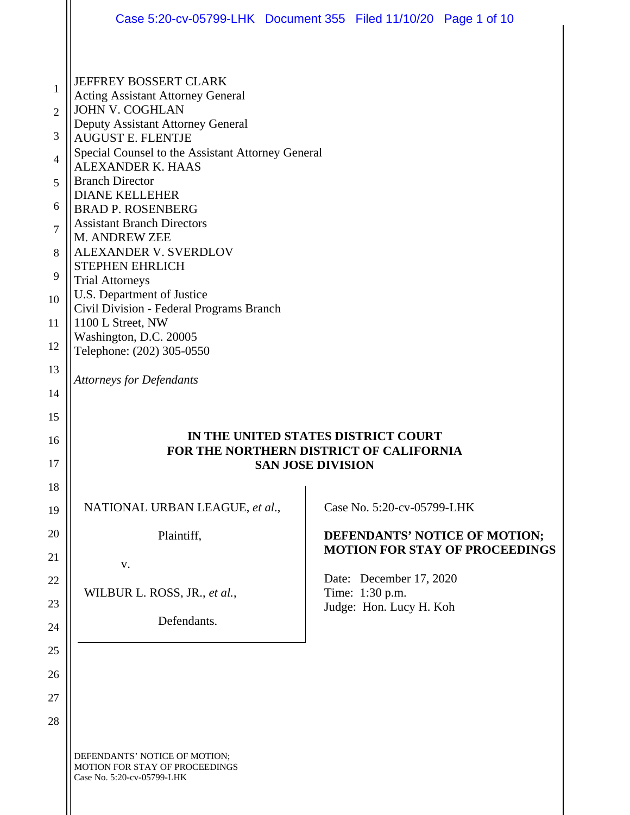|                                                                                             | Case 5:20-cv-05799-LHK Document 355 Filed 11/10/20 Page 1 of 10                                                                                                                                                                                                                                                                                                                                                                                                                                                                                                                                                                                                        |  |                                                                                                     |                                                                        |
|---------------------------------------------------------------------------------------------|------------------------------------------------------------------------------------------------------------------------------------------------------------------------------------------------------------------------------------------------------------------------------------------------------------------------------------------------------------------------------------------------------------------------------------------------------------------------------------------------------------------------------------------------------------------------------------------------------------------------------------------------------------------------|--|-----------------------------------------------------------------------------------------------------|------------------------------------------------------------------------|
| 1<br>$\overline{2}$<br>3<br>4<br>5<br>6<br>$\overline{7}$<br>8<br>9<br>10<br>11<br>12<br>13 | <b>JEFFREY BOSSERT CLARK</b><br><b>Acting Assistant Attorney General</b><br><b>JOHN V. COGHLAN</b><br>Deputy Assistant Attorney General<br><b>AUGUST E. FLENTJE</b><br>Special Counsel to the Assistant Attorney General<br><b>ALEXANDER K. HAAS</b><br><b>Branch Director</b><br><b>DIANE KELLEHER</b><br><b>BRAD P. ROSENBERG</b><br><b>Assistant Branch Directors</b><br>M. ANDREW ZEE<br><b>ALEXANDER V. SVERDLOV</b><br><b>STEPHEN EHRLICH</b><br><b>Trial Attorneys</b><br>U.S. Department of Justice<br>Civil Division - Federal Programs Branch<br>1100 L Street, NW<br>Washington, D.C. 20005<br>Telephone: (202) 305-0550<br><b>Attorneys for Defendants</b> |  |                                                                                                     |                                                                        |
| 14<br>15<br>16<br>17<br>18                                                                  | IN THE UNITED STATES DISTRICT COURT<br>FOR THE NORTHERN DISTRICT OF CALIFORNIA<br><b>SAN JOSE DIVISION</b>                                                                                                                                                                                                                                                                                                                                                                                                                                                                                                                                                             |  |                                                                                                     |                                                                        |
| 19<br>20<br>21<br>22<br>23<br>24<br>25<br>26<br>27<br>28                                    | NATIONAL URBAN LEAGUE, et al.,<br>Plaintiff,<br>v.<br>WILBUR L. ROSS, JR., et al.,<br>Defendants.                                                                                                                                                                                                                                                                                                                                                                                                                                                                                                                                                                      |  | Case No. 5:20-cv-05799-LHK<br>Date: December 17, 2020<br>Time: 1:30 p.m.<br>Judge: Hon. Lucy H. Koh | DEFENDANTS' NOTICE OF MOTION;<br><b>MOTION FOR STAY OF PROCEEDINGS</b> |
|                                                                                             | DEFENDANTS' NOTICE OF MOTION;<br>MOTION FOR STAY OF PROCEEDINGS<br>Case No. 5:20-cv-05799-LHK                                                                                                                                                                                                                                                                                                                                                                                                                                                                                                                                                                          |  |                                                                                                     |                                                                        |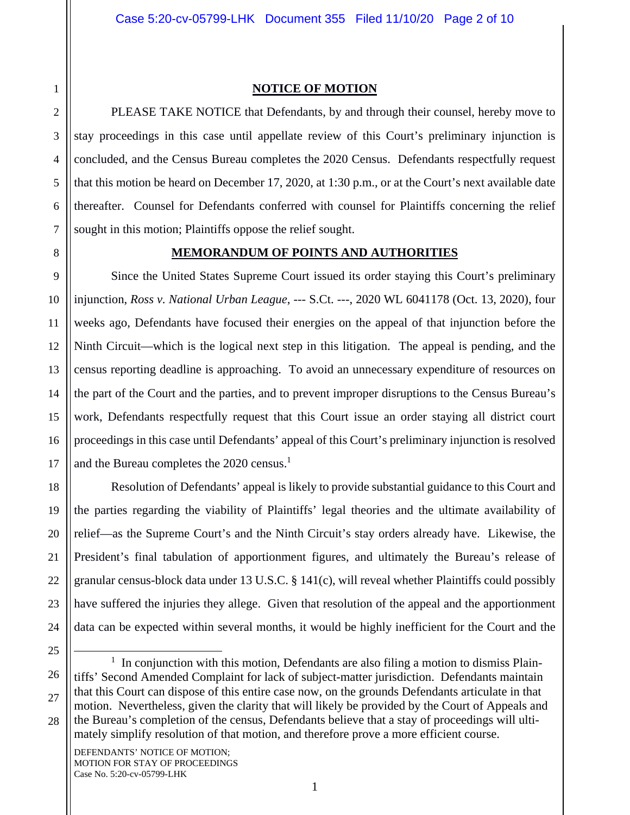1 2 3

4

5

6

7

8

9

10

11

12

13

14

15

16

17

18

19

20

21

22

23

24

## **NOTICE OF MOTION**

 PLEASE TAKE NOTICE that Defendants, by and through their counsel, hereby move to stay proceedings in this case until appellate review of this Court's preliminary injunction is concluded, and the Census Bureau completes the 2020 Census. Defendants respectfully request that this motion be heard on December 17, 2020, at 1:30 p.m., or at the Court's next available date thereafter. Counsel for Defendants conferred with counsel for Plaintiffs concerning the relief sought in this motion; Plaintiffs oppose the relief sought.

## **MEMORANDUM OF POINTS AND AUTHORITIES**

Since the United States Supreme Court issued its order staying this Court's preliminary injunction, *Ross v. National Urban League*, --- S.Ct. ---, 2020 WL 6041178 (Oct. 13, 2020), four weeks ago, Defendants have focused their energies on the appeal of that injunction before the Ninth Circuit—which is the logical next step in this litigation. The appeal is pending, and the census reporting deadline is approaching. To avoid an unnecessary expenditure of resources on the part of the Court and the parties, and to prevent improper disruptions to the Census Bureau's work, Defendants respectfully request that this Court issue an order staying all district court proceedings in this case until Defendants' appeal of this Court's preliminary injunction is resolved and the Bureau completes the 2020 census.<sup>1</sup>

Resolution of Defendants' appeal is likely to provide substantial guidance to this Court and the parties regarding the viability of Plaintiffs' legal theories and the ultimate availability of relief—as the Supreme Court's and the Ninth Circuit's stay orders already have. Likewise, the President's final tabulation of apportionment figures, and ultimately the Bureau's release of granular census-block data under 13 U.S.C. § 141(c), will reveal whether Plaintiffs could possibly have suffered the injuries they allege. Given that resolution of the appeal and the apportionment data can be expected within several months, it would be highly inefficient for the Court and the

25

÷

26

<sup>&</sup>lt;sup>1</sup> In conjunction with this motion, Defendants are also filing a motion to dismiss Plaintiffs' Second Amended Complaint for lack of subject-matter jurisdiction. Defendants maintain that this Court can dispose of this entire case now, on the grounds Defendants articulate in that motion. Nevertheless, given the clarity that will likely be provided by the Court of Appeals and

<sup>28</sup> the Bureau's completion of the census, Defendants believe that a stay of proceedings will ultimately simplify resolution of that motion, and therefore prove a more efficient course.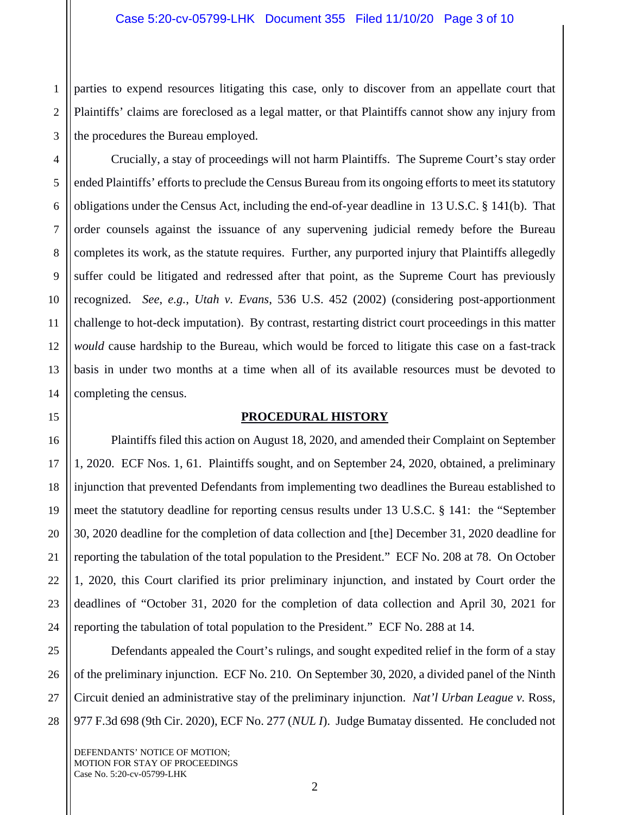1 2 3 parties to expend resources litigating this case, only to discover from an appellate court that Plaintiffs' claims are foreclosed as a legal matter, or that Plaintiffs cannot show any injury from the procedures the Bureau employed.

Crucially, a stay of proceedings will not harm Plaintiffs. The Supreme Court's stay order ended Plaintiffs' efforts to preclude the Census Bureau from its ongoing efforts to meet its statutory obligations under the Census Act, including the end-of-year deadline in 13 U.S.C. § 141(b). That order counsels against the issuance of any supervening judicial remedy before the Bureau completes its work, as the statute requires. Further, any purported injury that Plaintiffs allegedly suffer could be litigated and redressed after that point, as the Supreme Court has previously recognized. *See*, *e.g.*, *Utah v. Evans*, 536 U.S. 452 (2002) (considering post-apportionment challenge to hot-deck imputation). By contrast, restarting district court proceedings in this matter *would* cause hardship to the Bureau, which would be forced to litigate this case on a fast-track basis in under two months at a time when all of its available resources must be devoted to completing the census.

## **PROCEDURAL HISTORY**

Plaintiffs filed this action on August 18, 2020, and amended their Complaint on September 1, 2020. ECF Nos. 1, 61. Plaintiffs sought, and on September 24, 2020, obtained, a preliminary injunction that prevented Defendants from implementing two deadlines the Bureau established to meet the statutory deadline for reporting census results under 13 U.S.C. § 141: the "September 30, 2020 deadline for the completion of data collection and [the] December 31, 2020 deadline for reporting the tabulation of the total population to the President." ECF No. 208 at 78. On October 1, 2020, this Court clarified its prior preliminary injunction, and instated by Court order the deadlines of "October 31, 2020 for the completion of data collection and April 30, 2021 for reporting the tabulation of total population to the President." ECF No. 288 at 14.

Defendants appealed the Court's rulings, and sought expedited relief in the form of a stay of the preliminary injunction. ECF No. 210. On September 30, 2020, a divided panel of the Ninth Circuit denied an administrative stay of the preliminary injunction. *Nat'l Urban League v.* Ross, 977 F.3d 698 (9th Cir. 2020), ECF No. 277 (*NUL I*). Judge Bumatay dissented. He concluded not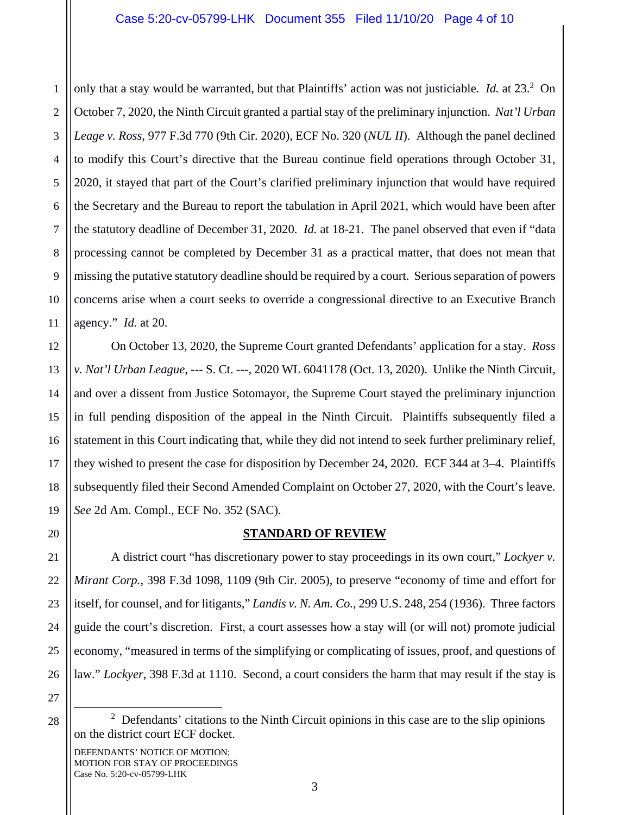1 2 3 4 5 6 7 8 9 10 11 only that a stay would be warranted, but that Plaintiffs' action was not justiciable. *Id.* at 23.<sup>2</sup> On October 7, 2020, the Ninth Circuit granted a partial stay of the preliminary injunction. *Nat'l Urban Leage v. Ross*, 977 F.3d 770 (9th Cir. 2020), ECF No. 320 (*NUL II*). Although the panel declined to modify this Court's directive that the Bureau continue field operations through October 31, 2020, it stayed that part of the Court's clarified preliminary injunction that would have required the Secretary and the Bureau to report the tabulation in April 2021, which would have been after the statutory deadline of December 31, 2020. *Id.* at 18-21. The panel observed that even if "data processing cannot be completed by December 31 as a practical matter, that does not mean that missing the putative statutory deadline should be required by a court. Serious separation of powers concerns arise when a court seeks to override a congressional directive to an Executive Branch agency." *Id.* at 20.

On October 13, 2020, the Supreme Court granted Defendants' application for a stay. *Ross v. Nat'l Urban League*, --- S. Ct. ---, 2020 WL 6041178 (Oct. 13, 2020). Unlike the Ninth Circuit, and over a dissent from Justice Sotomayor, the Supreme Court stayed the preliminary injunction in full pending disposition of the appeal in the Ninth Circuit. Plaintiffs subsequently filed a statement in this Court indicating that, while they did not intend to seek further preliminary relief, they wished to present the case for disposition by December 24, 2020. ECF 344 at 3–4. Plaintiffs subsequently filed their Second Amended Complaint on October 27, 2020, with the Court's leave. *See* 2d Am. Compl., ECF No. 352 (SAC).

20

12

13

14

15

16

17

18

19

21

22

23

24

25

26

## **STANDARD OF REVIEW**

A district court "has discretionary power to stay proceedings in its own court," *Lockyer v. Mirant Corp.*, 398 F.3d 1098, 1109 (9th Cir. 2005), to preserve "economy of time and effort for itself, for counsel, and for litigants," *Landis v. N. Am. Co.*, 299 U.S. 248, 254 (1936). Three factors guide the court's discretion. First, a court assesses how a stay will (or will not) promote judicial economy, "measured in terms of the simplifying or complicating of issues, proof, and questions of law." *Lockyer*, 398 F.3d at 1110. Second, a court considers the harm that may result if the stay is

27 28

÷

<sup>&</sup>lt;sup>2</sup> Defendants' citations to the Ninth Circuit opinions in this case are to the slip opinions on the district court ECF docket.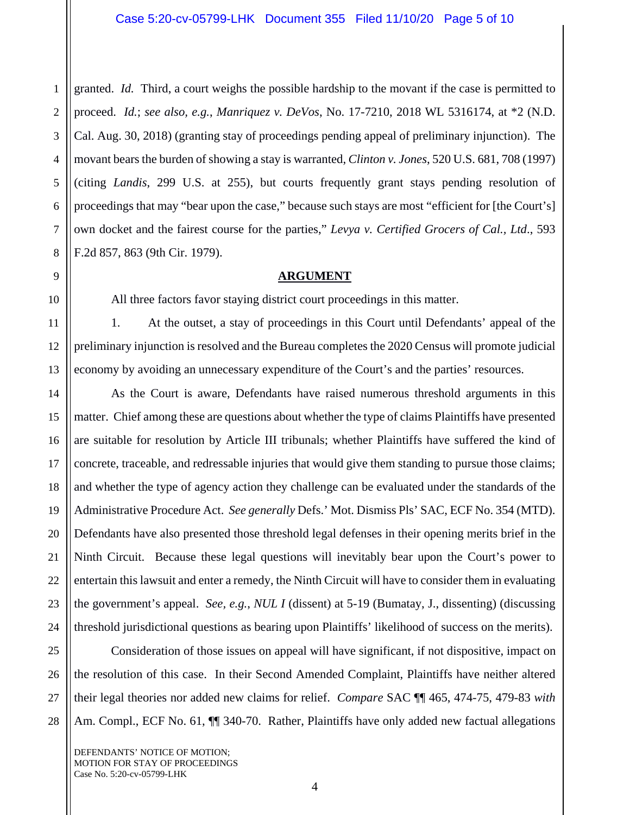1 2 3 4 5 6 7 8 granted. *Id.* Third, a court weighs the possible hardship to the movant if the case is permitted to proceed. *Id.*; *see also, e.g.*, *Manriquez v. DeVos*, No. 17-7210, 2018 WL 5316174, at \*2 (N.D. Cal. Aug. 30, 2018) (granting stay of proceedings pending appeal of preliminary injunction). The movant bears the burden of showing a stay is warranted, *Clinton v. Jones*, 520 U.S. 681, 708 (1997) (citing *Landis*, 299 U.S. at 255), but courts frequently grant stays pending resolution of proceedings that may "bear upon the case," because such stays are most "efficient for [the Court's] own docket and the fairest course for the parties," *Levya v. Certified Grocers of Cal., Ltd*., 593 F.2d 857, 863 (9th Cir. 1979).

#### **ARGUMENT**

All three factors favor staying district court proceedings in this matter.

1. At the outset, a stay of proceedings in this Court until Defendants' appeal of the preliminary injunction is resolved and the Bureau completes the 2020 Census will promote judicial economy by avoiding an unnecessary expenditure of the Court's and the parties' resources.

As the Court is aware, Defendants have raised numerous threshold arguments in this matter. Chief among these are questions about whether the type of claims Plaintiffs have presented are suitable for resolution by Article III tribunals; whether Plaintiffs have suffered the kind of concrete, traceable, and redressable injuries that would give them standing to pursue those claims; and whether the type of agency action they challenge can be evaluated under the standards of the Administrative Procedure Act. *See generally* Defs.' Mot. Dismiss Pls' SAC, ECF No. 354 (MTD). Defendants have also presented those threshold legal defenses in their opening merits brief in the Ninth Circuit. Because these legal questions will inevitably bear upon the Court's power to entertain this lawsuit and enter a remedy, the Ninth Circuit will have to consider them in evaluating the government's appeal. *See, e.g.*, *NUL I* (dissent) at 5-19 (Bumatay, J., dissenting) (discussing threshold jurisdictional questions as bearing upon Plaintiffs' likelihood of success on the merits).

25 26 27 28 Consideration of those issues on appeal will have significant, if not dispositive, impact on the resolution of this case. In their Second Amended Complaint, Plaintiffs have neither altered their legal theories nor added new claims for relief. *Compare* SAC ¶¶ 465, 474-75, 479-83 *with*  Am. Compl., ECF No. 61,  $\P$  340-70. Rather, Plaintiffs have only added new factual allegations

9

10

11

12

13

14

15

16

17

18

19

20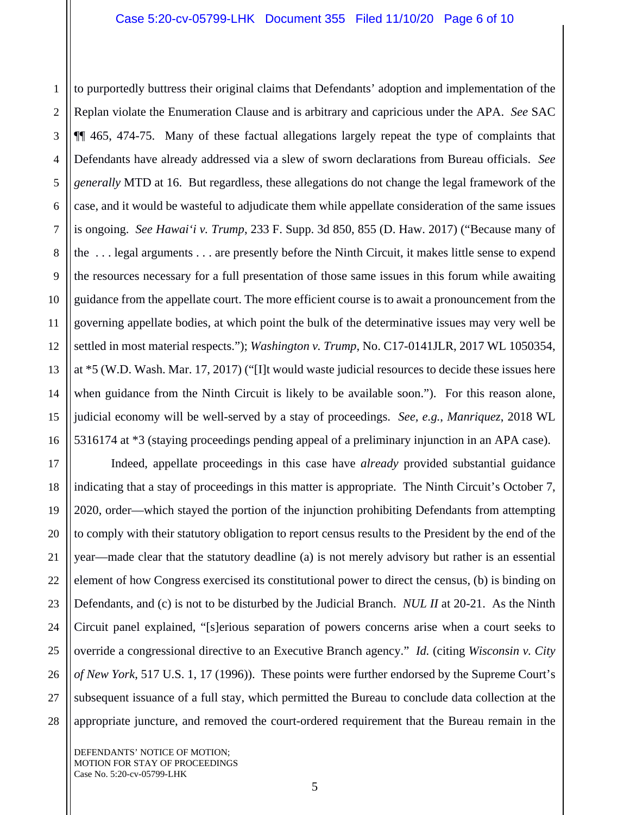6 8 9 10 12 13 14 16 to purportedly buttress their original claims that Defendants' adoption and implementation of the Replan violate the Enumeration Clause and is arbitrary and capricious under the APA. *See* SAC ¶¶ 465, 474-75. Many of these factual allegations largely repeat the type of complaints that Defendants have already addressed via a slew of sworn declarations from Bureau officials. *See generally* MTD at 16. But regardless, these allegations do not change the legal framework of the case, and it would be wasteful to adjudicate them while appellate consideration of the same issues is ongoing. *See Hawai'i v. Trump*, 233 F. Supp. 3d 850, 855 (D. Haw. 2017) ("Because many of the . . . legal arguments . . . are presently before the Ninth Circuit, it makes little sense to expend the resources necessary for a full presentation of those same issues in this forum while awaiting guidance from the appellate court. The more efficient course is to await a pronouncement from the governing appellate bodies, at which point the bulk of the determinative issues may very well be settled in most material respects."); *Washington v. Trump*, No. C17-0141JLR, 2017 WL 1050354, at \*5 (W.D. Wash. Mar. 17, 2017) ("[I]t would waste judicial resources to decide these issues here when guidance from the Ninth Circuit is likely to be available soon."). For this reason alone, judicial economy will be well-served by a stay of proceedings. *See, e.g.*, *Manriquez*, 2018 WL 5316174 at \*3 (staying proceedings pending appeal of a preliminary injunction in an APA case).

17 18 19 20 21 22 23 24 25 26 27 28 Indeed, appellate proceedings in this case have *already* provided substantial guidance indicating that a stay of proceedings in this matter is appropriate. The Ninth Circuit's October 7, 2020, order—which stayed the portion of the injunction prohibiting Defendants from attempting to comply with their statutory obligation to report census results to the President by the end of the year—made clear that the statutory deadline (a) is not merely advisory but rather is an essential element of how Congress exercised its constitutional power to direct the census, (b) is binding on Defendants, and (c) is not to be disturbed by the Judicial Branch. *NUL II* at 20-21. As the Ninth Circuit panel explained, "[s]erious separation of powers concerns arise when a court seeks to override a congressional directive to an Executive Branch agency." *Id.* (citing *Wisconsin v. City of New York*, 517 U.S. 1, 17 (1996)). These points were further endorsed by the Supreme Court's subsequent issuance of a full stay, which permitted the Bureau to conclude data collection at the appropriate juncture, and removed the court-ordered requirement that the Bureau remain in the

1

2

3

4

5

7

11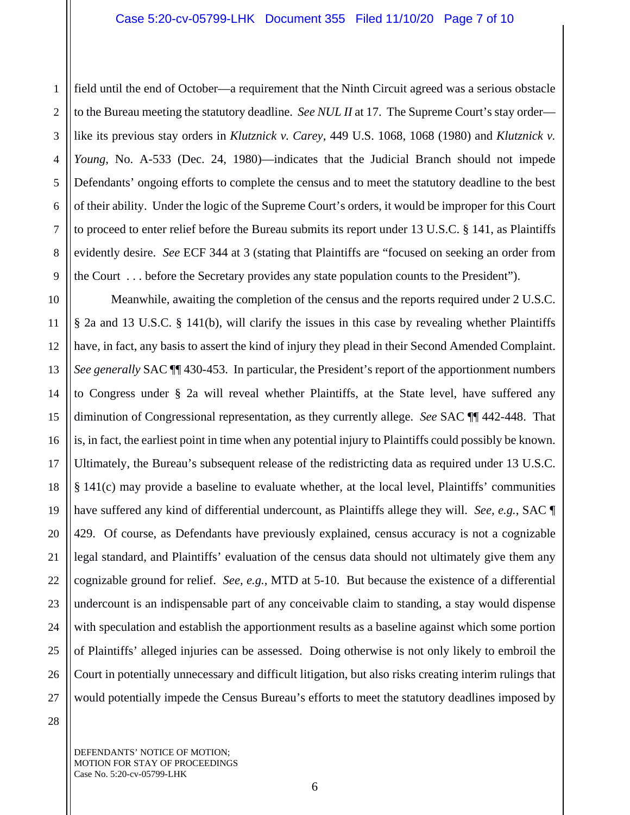2 3 4 5 6 7 8 9 field until the end of October—a requirement that the Ninth Circuit agreed was a serious obstacle to the Bureau meeting the statutory deadline. *See NUL II* at 17. The Supreme Court's stay order like its previous stay orders in *Klutznick v. Carey*, 449 U.S. 1068, 1068 (1980) and *Klutznick v. Young*, No. A-533 (Dec. 24, 1980)—indicates that the Judicial Branch should not impede Defendants' ongoing efforts to complete the census and to meet the statutory deadline to the best of their ability. Under the logic of the Supreme Court's orders, it would be improper for this Court to proceed to enter relief before the Bureau submits its report under 13 U.S.C. § 141, as Plaintiffs evidently desire. *See* ECF 344 at 3 (stating that Plaintiffs are "focused on seeking an order from the Court . . . before the Secretary provides any state population counts to the President").

10 11 12 13 14 15 16 17 18 19 20 21 22 23 24 25 26 27 Meanwhile, awaiting the completion of the census and the reports required under 2 U.S.C. § 2a and 13 U.S.C. § 141(b), will clarify the issues in this case by revealing whether Plaintiffs have, in fact, any basis to assert the kind of injury they plead in their Second Amended Complaint. *See generally* SAC ¶¶ 430-453. In particular, the President's report of the apportionment numbers to Congress under § 2a will reveal whether Plaintiffs, at the State level, have suffered any diminution of Congressional representation, as they currently allege. *See* SAC ¶¶ 442-448. That is, in fact, the earliest point in time when any potential injury to Plaintiffs could possibly be known. Ultimately, the Bureau's subsequent release of the redistricting data as required under 13 U.S.C. § 141(c) may provide a baseline to evaluate whether, at the local level, Plaintiffs' communities have suffered any kind of differential undercount, as Plaintiffs allege they will. *See, e.g.*, SAC ¶ 429. Of course, as Defendants have previously explained, census accuracy is not a cognizable legal standard, and Plaintiffs' evaluation of the census data should not ultimately give them any cognizable ground for relief. *See, e.g.*, MTD at 5-10. But because the existence of a differential undercount is an indispensable part of any conceivable claim to standing, a stay would dispense with speculation and establish the apportionment results as a baseline against which some portion of Plaintiffs' alleged injuries can be assessed. Doing otherwise is not only likely to embroil the Court in potentially unnecessary and difficult litigation, but also risks creating interim rulings that would potentially impede the Census Bureau's efforts to meet the statutory deadlines imposed by

28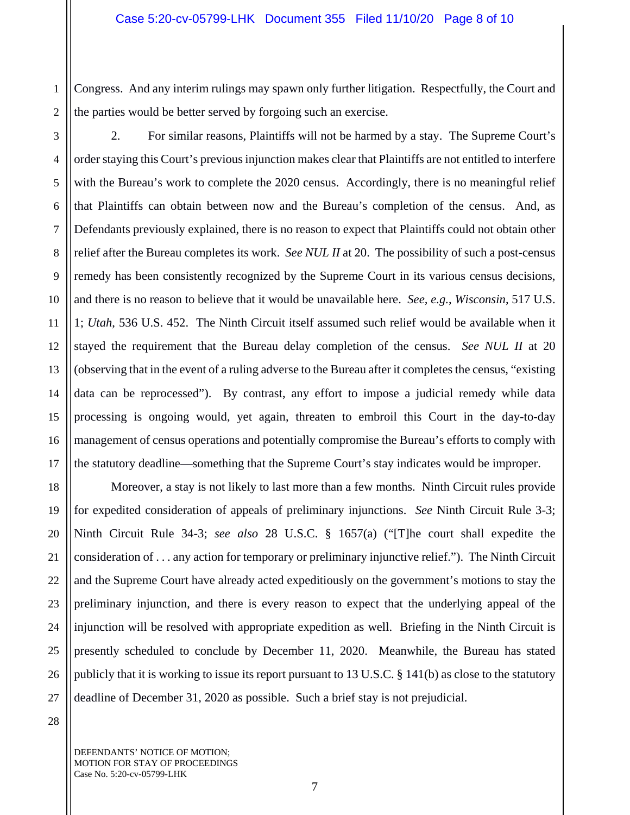1 Congress. And any interim rulings may spawn only further litigation. Respectfully, the Court and the parties would be better served by forgoing such an exercise.

2 3

4 5 6 7 8 9 10 11 12 13 14 15 16 17 2. For similar reasons, Plaintiffs will not be harmed by a stay. The Supreme Court's order staying this Court's previous injunction makes clear that Plaintiffs are not entitled to interfere with the Bureau's work to complete the 2020 census. Accordingly, there is no meaningful relief that Plaintiffs can obtain between now and the Bureau's completion of the census. And, as Defendants previously explained, there is no reason to expect that Plaintiffs could not obtain other relief after the Bureau completes its work. *See NUL II* at 20. The possibility of such a post-census remedy has been consistently recognized by the Supreme Court in its various census decisions, and there is no reason to believe that it would be unavailable here. *See, e.g.*, *Wisconsin*, 517 U.S. 1; *Utah*, 536 U.S. 452. The Ninth Circuit itself assumed such relief would be available when it stayed the requirement that the Bureau delay completion of the census. *See NUL II* at 20 (observing that in the event of a ruling adverse to the Bureau after it completes the census, "existing data can be reprocessed"). By contrast, any effort to impose a judicial remedy while data processing is ongoing would, yet again, threaten to embroil this Court in the day-to-day management of census operations and potentially compromise the Bureau's efforts to comply with the statutory deadline—something that the Supreme Court's stay indicates would be improper.

Moreover, a stay is not likely to last more than a few months. Ninth Circuit rules provide for expedited consideration of appeals of preliminary injunctions. *See* Ninth Circuit Rule 3-3; Ninth Circuit Rule 34-3; *see also* 28 U.S.C. § 1657(a) ("[T]he court shall expedite the consideration of . . . any action for temporary or preliminary injunctive relief."). The Ninth Circuit and the Supreme Court have already acted expeditiously on the government's motions to stay the preliminary injunction, and there is every reason to expect that the underlying appeal of the injunction will be resolved with appropriate expedition as well. Briefing in the Ninth Circuit is presently scheduled to conclude by December 11, 2020. Meanwhile, the Bureau has stated publicly that it is working to issue its report pursuant to 13 U.S.C. § 141(b) as close to the statutory deadline of December 31, 2020 as possible. Such a brief stay is not prejudicial.

28

18

19

20

21

22

23

24

25

26

27

DEFENDANTS' NOTICE OF MOTION; MOTION FOR STAY OF PROCEEDINGS Case No. 5:20-cv-05799-LHK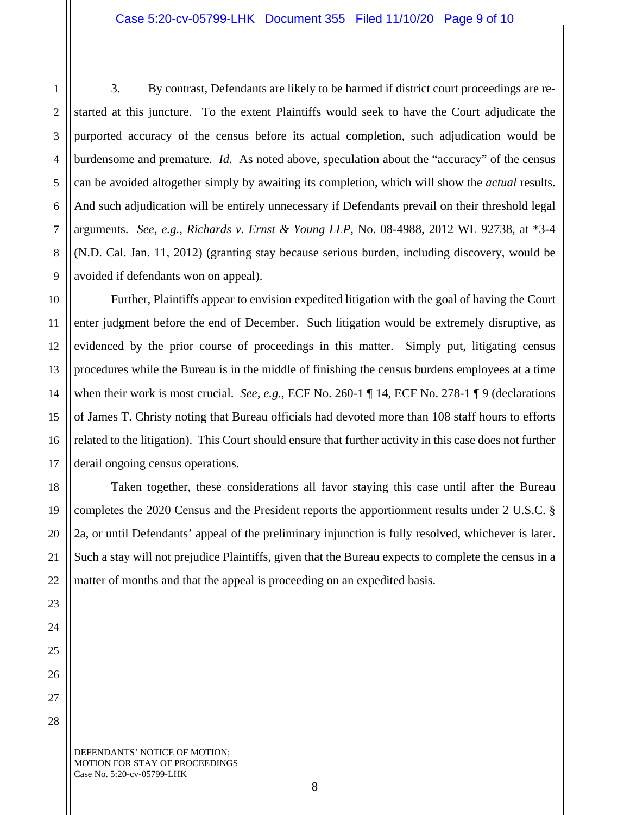3. By contrast, Defendants are likely to be harmed if district court proceedings are restarted at this juncture. To the extent Plaintiffs would seek to have the Court adjudicate the purported accuracy of the census before its actual completion, such adjudication would be burdensome and premature. *Id.* As noted above, speculation about the "accuracy" of the census can be avoided altogether simply by awaiting its completion, which will show the *actual* results. And such adjudication will be entirely unnecessary if Defendants prevail on their threshold legal arguments. *See, e.g.*, *Richards v. Ernst & Young LLP*, No. 08-4988, 2012 WL 92738, at \*3-4 (N.D. Cal. Jan. 11, 2012) (granting stay because serious burden, including discovery, would be avoided if defendants won on appeal).

10 12 Further, Plaintiffs appear to envision expedited litigation with the goal of having the Court enter judgment before the end of December. Such litigation would be extremely disruptive, as evidenced by the prior course of proceedings in this matter. Simply put, litigating census procedures while the Bureau is in the middle of finishing the census burdens employees at a time when their work is most crucial. *See, e.g.*, ECF No. 260-1 ¶ 14, ECF No. 278-1 ¶ 9 (declarations of James T. Christy noting that Bureau officials had devoted more than 108 staff hours to efforts related to the litigation). This Court should ensure that further activity in this case does not further derail ongoing census operations.

Taken together, these considerations all favor staying this case until after the Bureau completes the 2020 Census and the President reports the apportionment results under 2 U.S.C. § 2a, or until Defendants' appeal of the preliminary injunction is fully resolved, whichever is later. Such a stay will not prejudice Plaintiffs, given that the Bureau expects to complete the census in a matter of months and that the appeal is proceeding on an expedited basis.

DEFENDANTS' NOTICE OF MOTION; MOTION FOR STAY OF PROCEEDINGS Case No. 5:20-cv-05799-LHK

1

2

3

4

5

6

7

8

9